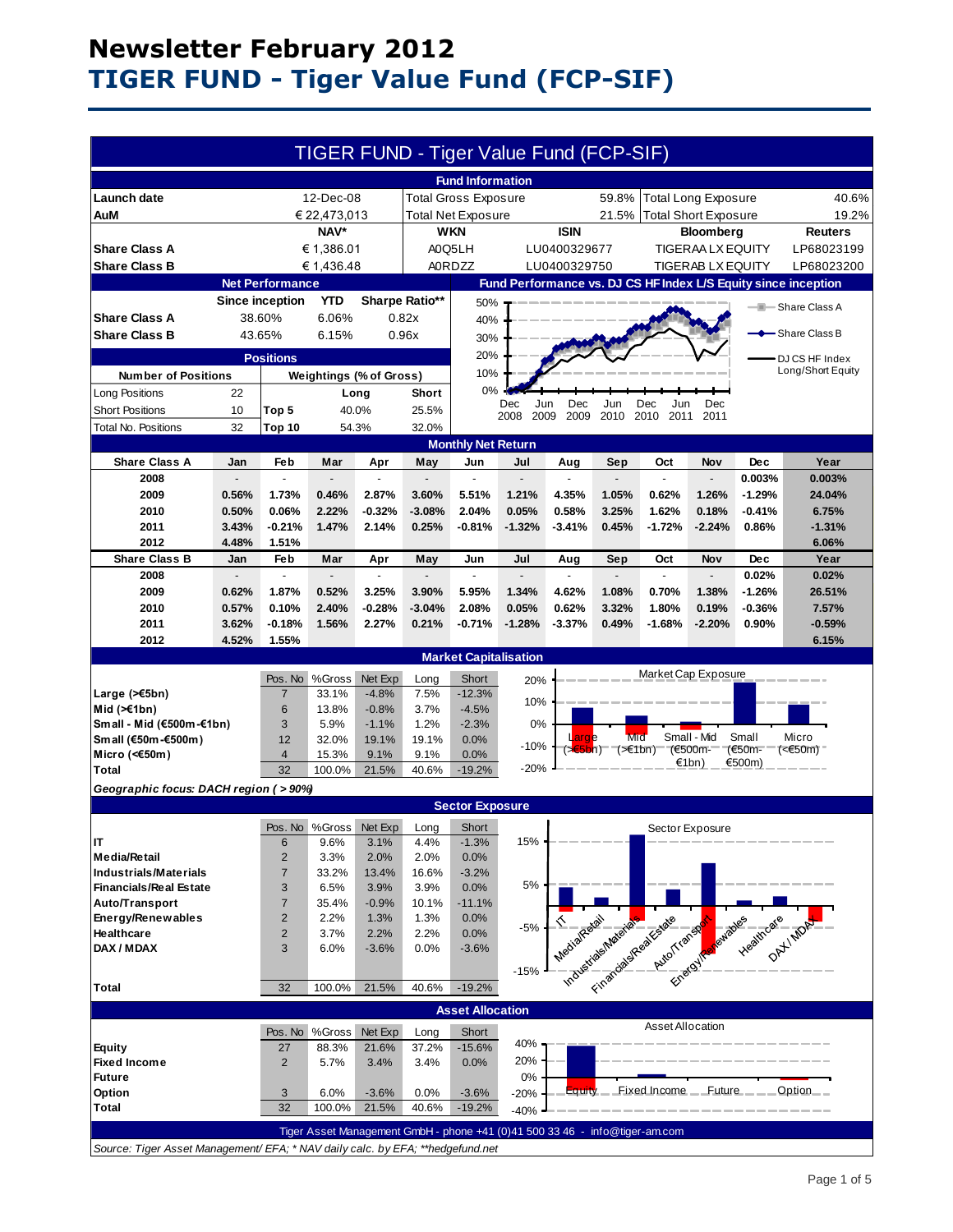# **Newsletter February 2012 TIGER FUND - Tiger Value Fund (FCP-SIF)**

|                                                                                |              |                        |                                |                               |              | TIGER FUND - Tiger Value Fund (FCP-SIF)                                     |                                      |                          |         |                                                                                                                |                            |            |                                                                |
|--------------------------------------------------------------------------------|--------------|------------------------|--------------------------------|-------------------------------|--------------|-----------------------------------------------------------------------------|--------------------------------------|--------------------------|---------|----------------------------------------------------------------------------------------------------------------|----------------------------|------------|----------------------------------------------------------------|
|                                                                                |              |                        |                                |                               |              | <b>Fund Information</b>                                                     |                                      |                          |         |                                                                                                                |                            |            |                                                                |
| Launch date                                                                    |              |                        | 12-Dec-08                      |                               |              | <b>Total Gross Exposure</b>                                                 |                                      |                          | 59.8%   |                                                                                                                | <b>Total Long Exposure</b> |            | 40.6%                                                          |
| <b>AuM</b>                                                                     | € 22,473,013 |                        |                                | <b>Total Net Exposure</b>     |              |                                                                             | 21.5%<br><b>Total Short Exposure</b> |                          |         |                                                                                                                | 19.2%                      |            |                                                                |
|                                                                                | NAV*         |                        |                                | <b>WKN</b><br><b>ISIN</b>     |              |                                                                             | <b>Bloomberg</b>                     |                          |         |                                                                                                                | Reuters                    |            |                                                                |
| <b>Share Class A</b>                                                           | € 1,386.01   |                        |                                | A0Q5LH<br>LU0400329677        |              |                                                                             | <b>TIGERAA LX EQUITY</b>             |                          |         |                                                                                                                | LP68023199                 |            |                                                                |
| <b>Share Class B</b>                                                           | € 1,436.48   |                        |                                | <b>A0RDZZ</b><br>LU0400329750 |              |                                                                             |                                      | <b>TIGERAB LX EQUITY</b> |         |                                                                                                                |                            | LP68023200 |                                                                |
|                                                                                |              | <b>Net Performance</b> |                                |                               |              |                                                                             |                                      |                          |         |                                                                                                                |                            |            | Fund Performance vs. DJ CS HF Index L/S Equity since inception |
|                                                                                |              | <b>Since inception</b> | <b>YTD</b>                     | Sharpe Ratio**                |              | 50%                                                                         |                                      |                          |         |                                                                                                                |                            |            |                                                                |
| <b>Share Class A</b>                                                           |              | 38.60%                 | 6.06%                          |                               | 0.82x        | 40%                                                                         |                                      |                          |         |                                                                                                                |                            |            | - Share Class A                                                |
| <b>Share Class B</b>                                                           |              | 43.65%                 | 6.15%                          |                               | 0.96x        |                                                                             |                                      |                          |         |                                                                                                                |                            |            | - Share Class B                                                |
| 30%<br>20%                                                                     |              |                        |                                |                               |              |                                                                             |                                      |                          |         |                                                                                                                |                            |            |                                                                |
|                                                                                |              | <b>Positions</b>       |                                |                               |              |                                                                             |                                      |                          |         |                                                                                                                |                            |            | DJ CS HF Index<br>Long/Short Equity                            |
| <b>Number of Positions</b>                                                     |              |                        | <b>Weightings (% of Gross)</b> |                               |              | 10%                                                                         |                                      |                          |         |                                                                                                                |                            |            |                                                                |
| Long Positions                                                                 | 22           |                        |                                | Long                          | Short        | 0%                                                                          | Dec<br>Jun                           | Dec                      | Jun     | Dec                                                                                                            | Dec                        |            |                                                                |
| <b>Short Positions</b>                                                         | 10           | Top 5                  | 40.0%                          |                               | 25.5%        |                                                                             | 2008<br>2009                         | 2009                     | 2010    | 2010<br>2011                                                                                                   | 2011                       |            |                                                                |
| Total No. Positions                                                            | 32           | <b>Top 10</b>          | 54.3%                          |                               | 32.0%        |                                                                             |                                      |                          |         |                                                                                                                |                            |            |                                                                |
|                                                                                |              |                        |                                |                               |              | <b>Monthly Net Return</b>                                                   |                                      |                          |         |                                                                                                                |                            |            |                                                                |
| <b>Share Class A</b>                                                           | Jan          | Feb                    | Mar                            | Apr                           | May          | Jun                                                                         | Jul                                  | Aug                      | Sep     | Oct                                                                                                            | Nov                        | <b>Dec</b> | Year                                                           |
| 2008                                                                           |              |                        |                                |                               |              |                                                                             |                                      |                          |         |                                                                                                                |                            | 0.003%     | 0.003%                                                         |
| 2009                                                                           | 0.56%        | 1.73%                  | 0.46%                          | 2.87%                         | 3.60%        | 5.51%                                                                       | 1.21%                                | 4.35%                    | 1.05%   | 0.62%                                                                                                          | 1.26%                      | $-1.29%$   | 24.04%                                                         |
| 2010                                                                           | 0.50%        | 0.06%                  | 2.22%                          | $-0.32%$                      | $-3.08%$     | 2.04%                                                                       | 0.05%                                | 0.58%                    | 3.25%   | 1.62%                                                                                                          | 0.18%                      | $-0.41%$   | 6.75%                                                          |
| 2011                                                                           | 3.43%        | $-0.21%$               | 1.47%                          | 2.14%                         | 0.25%        | $-0.81%$                                                                    | $-1.32%$                             | $-3.41%$                 | 0.45%   | $-1.72%$                                                                                                       | $-2.24%$                   | 0.86%      | $-1.31%$                                                       |
| 2012                                                                           | 4.48%        | 1.51%                  |                                |                               |              |                                                                             |                                      |                          |         |                                                                                                                |                            |            | 6.06%                                                          |
| <b>Share Class B</b>                                                           | Jan          | Feb                    | Mar                            | Apr                           | May          | Jun                                                                         | Jul                                  | Aug                      | Sep     | Oct                                                                                                            | <b>Nov</b>                 | <b>Dec</b> | Year                                                           |
| 2008                                                                           |              | ÷.                     |                                |                               |              | ÷.                                                                          |                                      |                          |         |                                                                                                                |                            | 0.02%      | 0.02%                                                          |
| 2009                                                                           | 0.62%        | 1.87%                  | 0.52%                          | 3.25%                         | 3.90%        | 5.95%                                                                       | 1.34%                                | 4.62%                    | 1.08%   | 0.70%                                                                                                          | 1.38%                      | $-1.26%$   | 26.51%                                                         |
| 2010                                                                           | 0.57%        | 0.10%                  | 2.40%                          | $-0.28%$                      | $-3.04%$     | 2.08%                                                                       | 0.05%                                | 0.62%                    | 3.32%   | 1.80%                                                                                                          | 0.19%                      | $-0.36%$   | 7.57%                                                          |
| 2011                                                                           | 3.62%        | $-0.18%$               | 1.56%                          | 2.27%                         | 0.21%        | $-0.71%$                                                                    | $-1.28%$                             | $-3.37%$                 | 0.49%   | $-1.68%$                                                                                                       | $-2.20%$                   | 0.90%      | $-0.59%$                                                       |
| 2012                                                                           | 4.52%        | 1.55%                  |                                |                               |              |                                                                             |                                      |                          |         |                                                                                                                |                            |            | 6.15%                                                          |
| <b>Market Capitalisation</b><br>Market Cap Exposure                            |              |                        |                                |                               |              |                                                                             |                                      |                          |         |                                                                                                                |                            |            |                                                                |
|                                                                                |              | Pos. No                | %Gross                         | Net Exp                       | Long         | Short                                                                       | 20%                                  |                          |         |                                                                                                                |                            |            |                                                                |
| Large (>€5bn)                                                                  |              | $\overline{7}$<br>6    | 33.1%<br>13.8%                 | $-4.8%$<br>$-0.8%$            | 7.5%<br>3.7% | $-12.3%$<br>$-4.5%$                                                         | 10%                                  |                          |         |                                                                                                                |                            |            |                                                                |
| Mid $(\ge 1$ bn)<br>Small - Mid (€500m-€1bn)                                   |              | 3                      | 5.9%                           | $-1.1%$                       | 1.2%         | $-2.3%$                                                                     | 0%                                   |                          |         |                                                                                                                |                            |            |                                                                |
| Small (€50m-€500m)                                                             |              | 12                     | 32.0%                          | 19.1%                         | 19.1%        | 0.0%                                                                        |                                      | Large                    | Mid     |                                                                                                                | Small - Mid                | Small      | Micro                                                          |
| Micro (< $60$ m)                                                               |              | $\overline{4}$         | 15.3%                          | 9.1%                          | 9.1%         | 0.0%                                                                        | $-10%$                               | $(\times 5$ bn)          | (≥€1bn) |                                                                                                                | (€500m-                    | (€50m-     | $(650m)$                                                       |
| <b>Total</b>                                                                   |              | 32                     | 100.0%                         | 21.5%                         | 40.6%        | $-19.2%$                                                                    | $-20%$                               |                          |         |                                                                                                                | €1bn)                      | €500m)     |                                                                |
| Geographic focus: DACH region ( > 90%)                                         |              |                        |                                |                               |              |                                                                             |                                      |                          |         |                                                                                                                |                            |            |                                                                |
| <b>Sector Exposure</b>                                                         |              |                        |                                |                               |              |                                                                             |                                      |                          |         |                                                                                                                |                            |            |                                                                |
|                                                                                |              |                        | Pos. No %Gross Net Exp         |                               | Long         | Short                                                                       |                                      |                          |         |                                                                                                                | Sector Exposure            |            |                                                                |
| IT                                                                             |              | 6                      | 9.6%                           | 3.1%                          | 4.4%         | $-1.3%$                                                                     | 15%                                  |                          |         |                                                                                                                |                            |            |                                                                |
| <b>Media/Retail</b>                                                            |              | $\overline{c}$         | 3.3%                           | 2.0%                          | 2.0%         | 0.0%                                                                        |                                      |                          |         |                                                                                                                |                            |            |                                                                |
| <b>Industrials/Materials</b>                                                   |              | 7                      | 33.2%                          | 13.4%                         | 16.6%        | $-3.2%$                                                                     |                                      |                          |         |                                                                                                                |                            |            |                                                                |
| <b>Financials/Real Estate</b>                                                  |              | 3                      | 6.5%                           | 3.9%                          | 3.9%         | 0.0%                                                                        | 5%                                   |                          |         |                                                                                                                |                            |            |                                                                |
| Auto/Transport                                                                 |              | 7                      | 35.4%                          | $-0.9%$                       | 10.1%        | $-11.1%$                                                                    |                                      |                          |         |                                                                                                                |                            |            |                                                                |
| Energy/Renewables                                                              |              | 2                      | 2.2%                           | 1.3%                          | 1.3%         | 0.0%                                                                        | $-5%$                                |                          |         |                                                                                                                |                            |            |                                                                |
| Healthcare<br>DAX / MDAX                                                       |              | 2<br>3                 | 3.7%<br>6.0%                   | 2.2%                          | 2.2%<br>0.0% | 0.0%                                                                        |                                      |                          |         |                                                                                                                |                            |            |                                                                |
|                                                                                |              |                        |                                | $-3.6%$                       |              | $-3.6%$                                                                     |                                      |                          |         | Information and the case of the anti-resolution of the case of the case of the case of the case of the case of |                            |            |                                                                |
|                                                                                |              |                        |                                |                               |              |                                                                             | $-15%$                               |                          |         |                                                                                                                |                            |            |                                                                |
| Total                                                                          |              | 32                     | 100.0%                         | 21.5%                         | 40.6%        | $-19.2%$                                                                    |                                      |                          |         |                                                                                                                |                            |            |                                                                |
|                                                                                |              |                        |                                |                               |              | <b>Asset Allocation</b>                                                     |                                      |                          |         |                                                                                                                |                            |            |                                                                |
|                                                                                |              |                        | Pos. No %Gross                 | Net Exp                       | Long         | Short                                                                       |                                      |                          |         | Asset Allocation                                                                                               |                            |            |                                                                |
| <b>Equity</b>                                                                  |              | 27                     | 88.3%                          | 21.6%                         | 37.2%        | $-15.6%$                                                                    | 40%                                  |                          |         |                                                                                                                |                            |            |                                                                |
| <b>Fixed Income</b>                                                            |              | $\overline{2}$         | 5.7%                           | 3.4%                          | 3.4%         | 0.0%                                                                        | 20%                                  |                          |         |                                                                                                                |                            |            |                                                                |
| <b>Future</b>                                                                  |              |                        |                                |                               |              |                                                                             | 0%                                   |                          |         |                                                                                                                |                            |            |                                                                |
| Option                                                                         |              | 3                      | 6.0%                           | $-3.6%$                       | 0.0%         | $-3.6%$                                                                     | $-20%$                               | ⊏quity                   |         | Fixed Income                                                                                                   | Future                     |            | Option                                                         |
| <b>Total</b>                                                                   |              | 32                     | 100.0%                         | 21.5%                         | 40.6%        | $-19.2%$                                                                    | $-40%$                               |                          |         |                                                                                                                |                            |            |                                                                |
|                                                                                |              |                        |                                |                               |              | Tiger Asset Management GmbH - phone +41 (0)41 500 33 46 - info@tiger-am.com |                                      |                          |         |                                                                                                                |                            |            |                                                                |
| Source: Tiger Asset Management/ EFA; * NAV daily calc. by EFA; **hedgefund.net |              |                        |                                |                               |              |                                                                             |                                      |                          |         |                                                                                                                |                            |            |                                                                |
|                                                                                |              |                        |                                |                               |              |                                                                             |                                      |                          |         |                                                                                                                |                            |            |                                                                |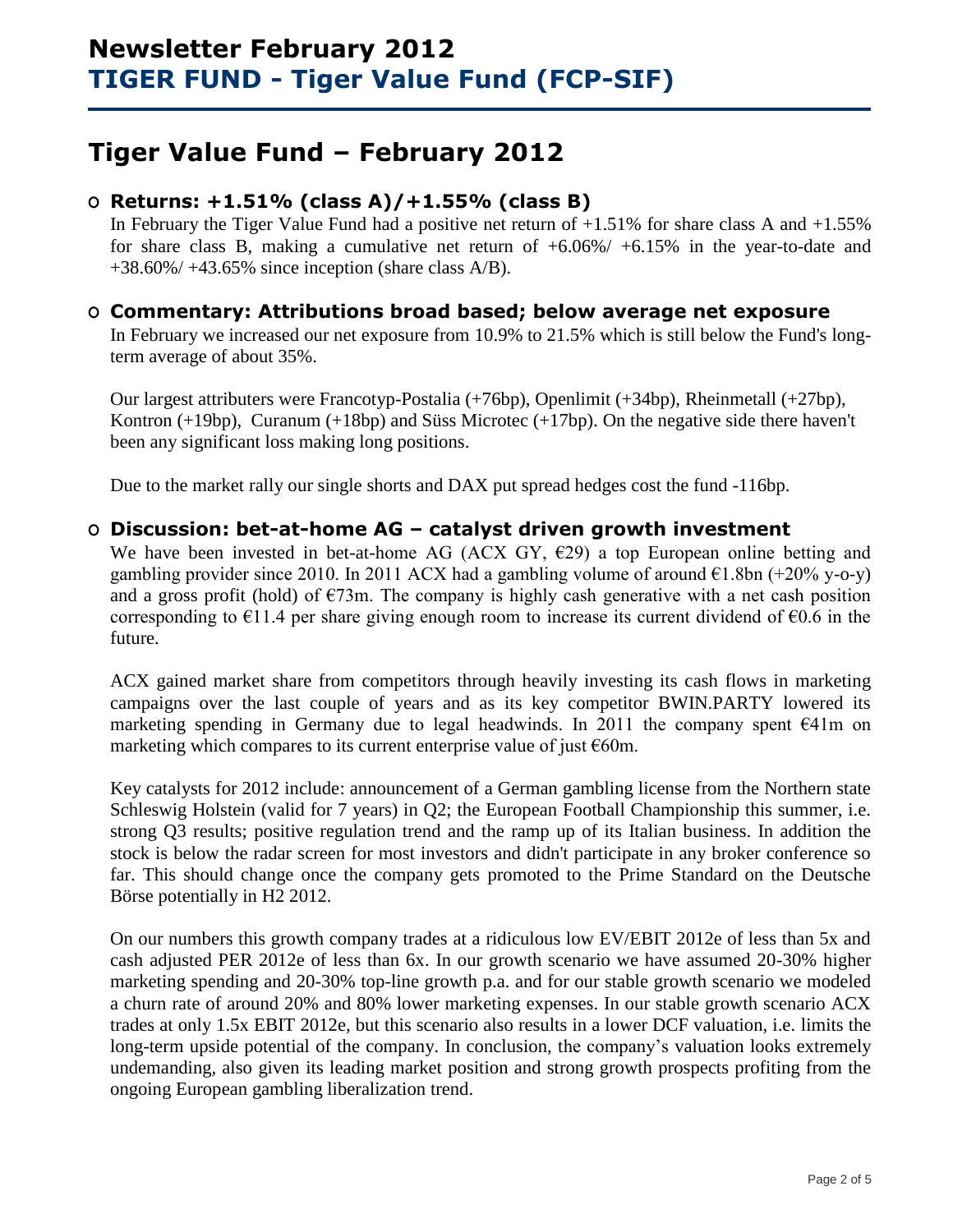# **Tiger Value Fund – February 2012**

## **O Returns: +1.51% (class A)/+1.55% (class B)**

In February the Tiger Value Fund had a positive net return of  $+1.51\%$  for share class A and  $+1.55\%$ for share class B, making a cumulative net return of +6.06%/ +6.15% in the year-to-date and  $+38.60\% / +43.65\%$  since inception (share class A/B).

## **O Commentary: Attributions broad based; below average net exposure**

In February we increased our net exposure from 10.9% to 21.5% which is still below the Fund's longterm average of about 35%.

Our largest attributers were Francotyp-Postalia (+76bp), Openlimit (+34bp), Rheinmetall (+27bp), Kontron (+19bp), Curanum (+18bp) and Süss Microtec (+17bp). On the negative side there haven't been any significant loss making long positions.

Due to the market rally our single shorts and DAX put spread hedges cost the fund -116bp.

## **O Discussion: bet-at-home AG – catalyst driven growth investment**

We have been invested in bet-at-home AG (ACX GY,  $E29$ ) a top European online betting and gambling provider since 2010. In 2011 ACX had a gambling volume of around  $\epsilon$ 1.8bn (+20% y-o-y) and a gross profit (hold) of  $\epsilon$ 73m. The company is highly cash generative with a net cash position corresponding to  $\epsilon$ 11.4 per share giving enough room to increase its current dividend of  $\epsilon$ 0.6 in the future.

ACX gained market share from competitors through heavily investing its cash flows in marketing campaigns over the last couple of years and as its key competitor BWIN.PARTY lowered its marketing spending in Germany due to legal headwinds. In 2011 the company spent  $\epsilon$ 41m on marketing which compares to its current enterprise value of just  $€60m$ .

Key catalysts for 2012 include: announcement of a German gambling license from the Northern state Schleswig Holstein (valid for 7 years) in Q2; the European Football Championship this summer, i.e. strong Q3 results; positive regulation trend and the ramp up of its Italian business. In addition the stock is below the radar screen for most investors and didn't participate in any broker conference so far. This should change once the company gets promoted to the Prime Standard on the Deutsche Börse potentially in H2 2012.

On our numbers this growth company trades at a ridiculous low EV/EBIT 2012e of less than 5x and cash adjusted PER 2012e of less than 6x. In our growth scenario we have assumed 20-30% higher marketing spending and 20-30% top-line growth p.a. and for our stable growth scenario we modeled a churn rate of around 20% and 80% lower marketing expenses. In our stable growth scenario ACX trades at only 1.5x EBIT 2012e, but this scenario also results in a lower DCF valuation, i.e. limits the long-term upside potential of the company. In conclusion, the company's valuation looks extremely undemanding, also given its leading market position and strong growth prospects profiting from the ongoing European gambling liberalization trend.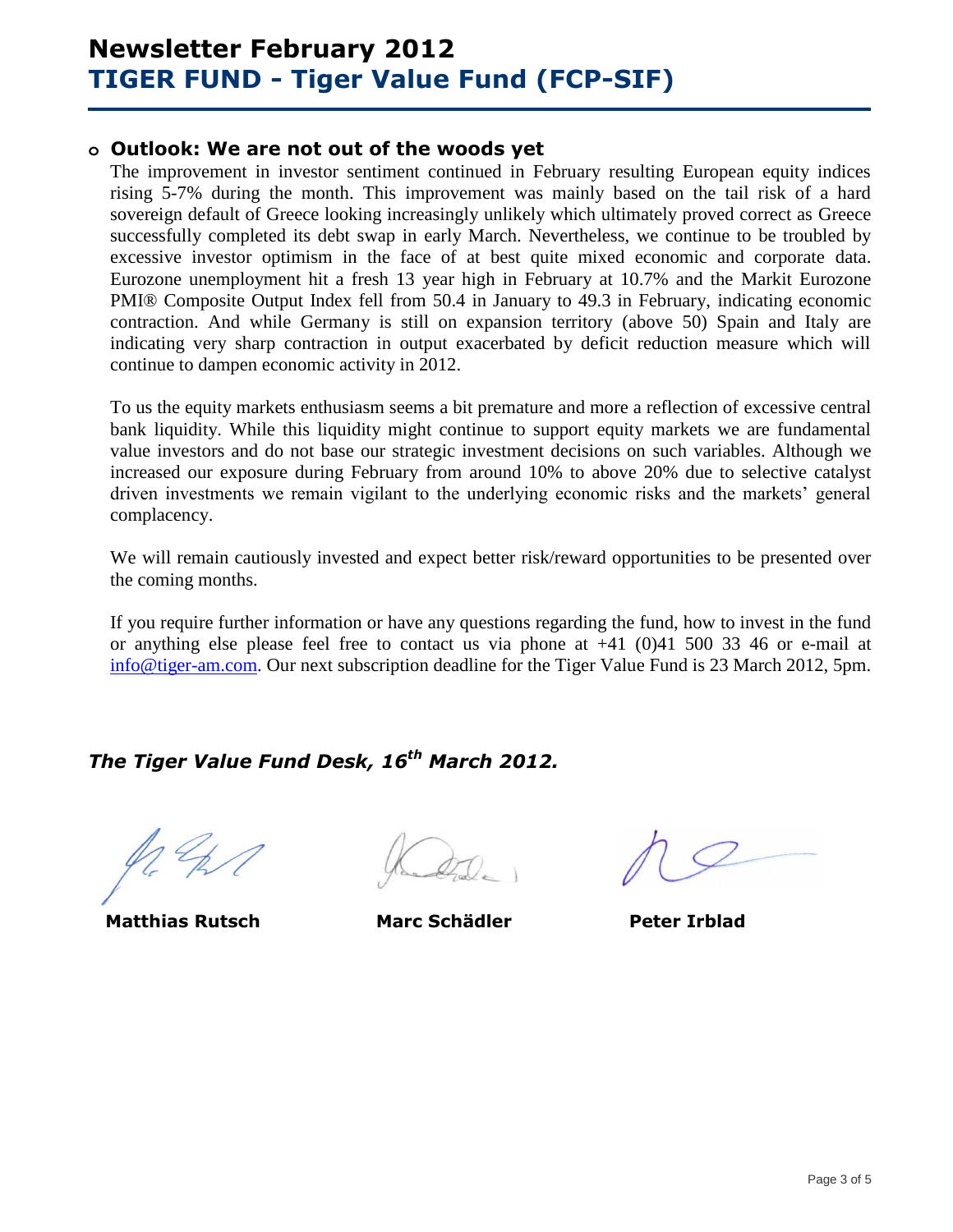## **o Outlook: We are not out of the woods yet**

The improvement in investor sentiment continued in February resulting European equity indices rising 5-7% during the month. This improvement was mainly based on the tail risk of a hard sovereign default of Greece looking increasingly unlikely which ultimately proved correct as Greece successfully completed its debt swap in early March. Nevertheless, we continue to be troubled by excessive investor optimism in the face of at best quite mixed economic and corporate data. Eurozone unemployment hit a fresh 13 year high in February at 10.7% and the Markit Eurozone PMI® Composite Output Index fell from 50.4 in January to 49.3 in February, indicating economic contraction. And while Germany is still on expansion territory (above 50) Spain and Italy are indicating very sharp contraction in output exacerbated by deficit reduction measure which will continue to dampen economic activity in 2012.

To us the equity markets enthusiasm seems a bit premature and more a reflection of excessive central bank liquidity. While this liquidity might continue to support equity markets we are fundamental value investors and do not base our strategic investment decisions on such variables. Although we increased our exposure during February from around 10% to above 20% due to selective catalyst driven investments we remain vigilant to the underlying economic risks and the markets' general complacency.

We will remain cautiously invested and expect better risk/reward opportunities to be presented over the coming months.

If you require further information or have any questions regarding the fund, how to invest in the fund or anything else please feel free to contact us via phone at +41 (0)41 500 33 46 or e-mail at [info@tiger-am.com.](mailto:matthias.rutsch@tiger-am.com) Our next subscription deadline for the Tiger Value Fund is 23 March 2012, 5pm.

# *The Tiger Value Fund Desk, 16th March 2012.*

**Matthias Rutsch Marc Schädler Peter Irblad**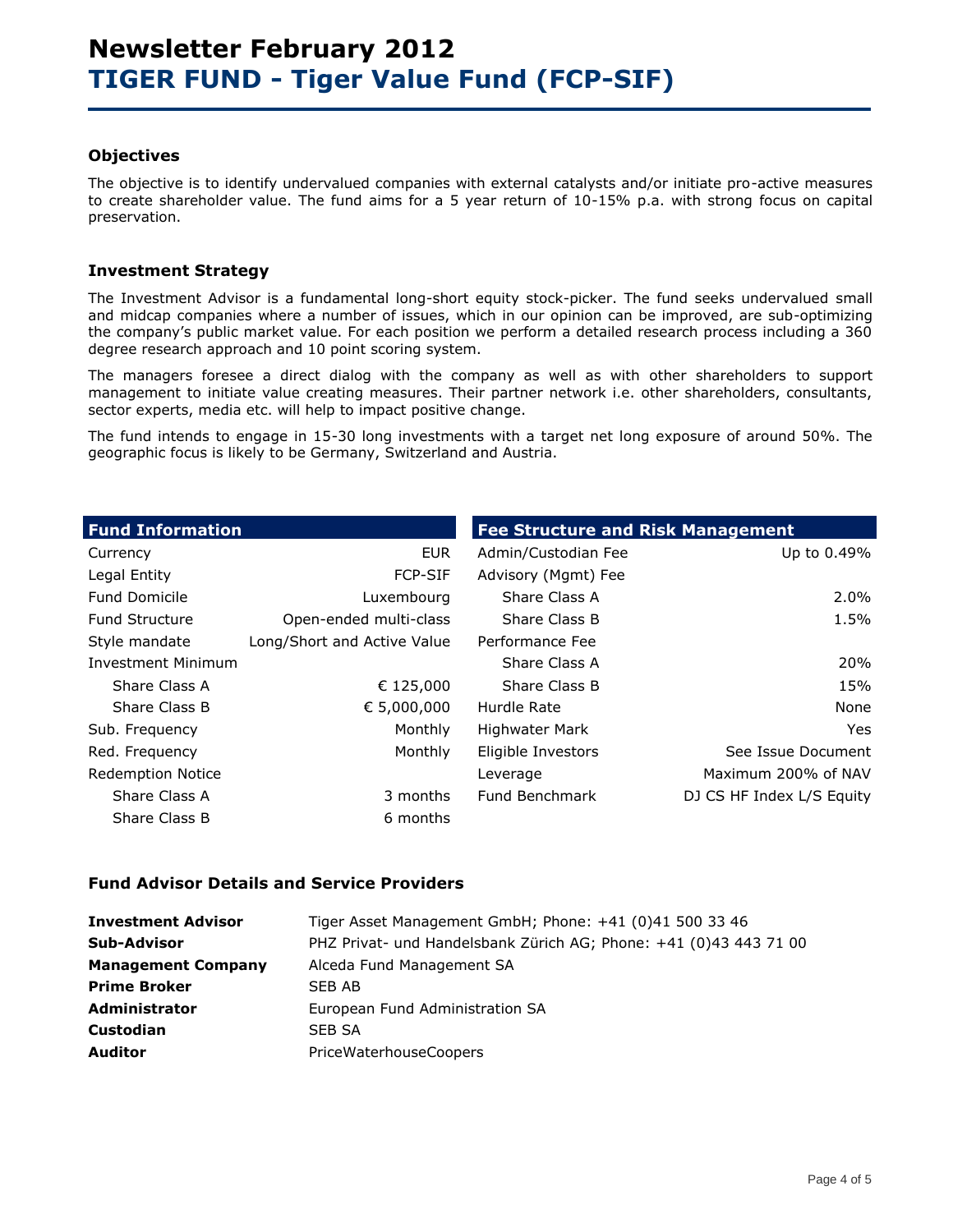#### **Objectives**

The objective is to identify undervalued companies with external catalysts and/or initiate pro-active measures to create shareholder value. The fund aims for a 5 year return of 10-15% p.a. with strong focus on capital preservation.

### **Investment Strategy**

The Investment Advisor is a fundamental long-short equity stock-picker. The fund seeks undervalued small and midcap companies where a number of issues, which in our opinion can be improved, are sub-optimizing the company's public market value. For each position we perform a detailed research process including a 360 degree research approach and 10 point scoring system.

The managers foresee a direct dialog with the company as well as with other shareholders to support management to initiate value creating measures. Their partner network i.e. other shareholders, consultants, sector experts, media etc. will help to impact positive change.

The fund intends to engage in 15-30 long investments with a target net long exposure of around 50%. The geographic focus is likely to be Germany, Switzerland and Austria.

| <b>Fund Information</b>   |                             | <b>Fee Structure and Risk Management</b> |                           |
|---------------------------|-----------------------------|------------------------------------------|---------------------------|
| Currency                  | <b>EUR</b>                  | Admin/Custodian Fee                      | Up to 0.49%               |
| Legal Entity              | <b>FCP-SIF</b>              | Advisory (Mgmt) Fee                      |                           |
| <b>Fund Domicile</b>      | Luxembourg                  | Share Class A                            | $2.0\%$                   |
| <b>Fund Structure</b>     | Open-ended multi-class      | Share Class B                            | 1.5%                      |
| Style mandate             | Long/Short and Active Value | Performance Fee                          |                           |
| <b>Investment Minimum</b> |                             | Share Class A                            | 20%                       |
| Share Class A             | € 125,000                   | Share Class B                            | 15%                       |
| Share Class B             | € 5,000,000                 | Hurdle Rate                              | None                      |
| Sub. Frequency            | Monthly                     | <b>Highwater Mark</b>                    | Yes                       |
| Red. Frequency            | Monthly                     | Eligible Investors                       | See Issue Document        |
| <b>Redemption Notice</b>  |                             | Leverage                                 | Maximum 200% of NAV       |
| Share Class A             | 3 months                    | Fund Benchmark                           | DJ CS HF Index L/S Equity |
| Share Class B             | 6 months                    |                                          |                           |

### **Fund Advisor Details and Service Providers**

| <b>Investment Advisor</b> | Tiger Asset Management GmbH; Phone: +41 (0)41 500 33 46           |
|---------------------------|-------------------------------------------------------------------|
| <b>Sub-Advisor</b>        | PHZ Privat- und Handelsbank Zürich AG; Phone: +41 (0)43 443 71 00 |
| <b>Management Company</b> | Alceda Fund Management SA                                         |
| <b>Prime Broker</b>       | SEB AB                                                            |
| <b>Administrator</b>      | European Fund Administration SA                                   |
| <b>Custodian</b>          | <b>SEB SA</b>                                                     |
| <b>Auditor</b>            | PriceWaterhouseCoopers                                            |